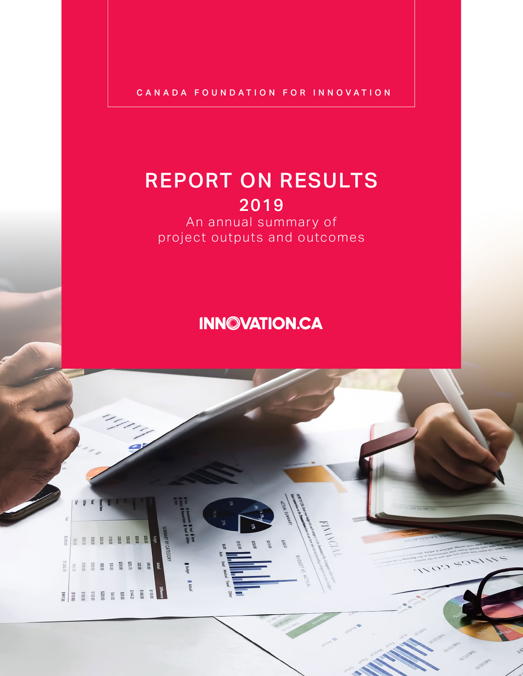CANADA FOUNDATION FOR INNOVATION

### REPORT ON RESULTS 2019

An annual summary of project outputs and outcomes

### **INNOVATION.CA**

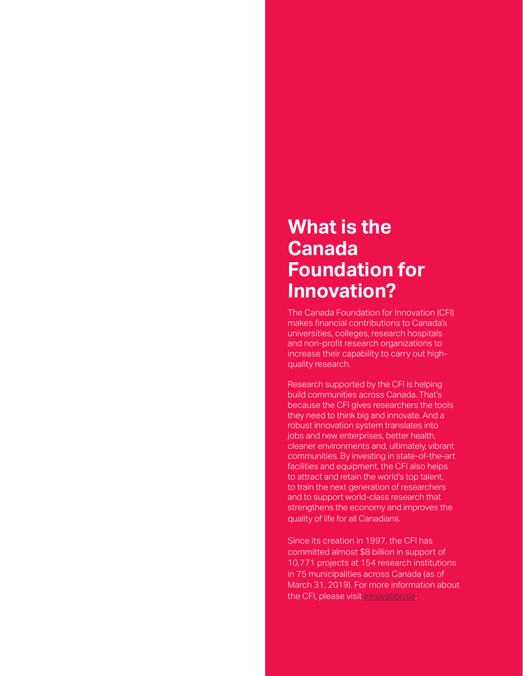### **What is the Canada Foundation for Innovation?**

The Canada Foundation for Innovation (CFI) makes financial contributions to Canada's universities, colleges, research hospitals and non-profit research organizations to increase their capability to carry out highquality research.

Research supported by the CFI is helping build communities across Canada. That's because the CFI gives researchers the tools they need to think big and innovate. And a robust innovation system translates into jobs and new enterprises, better health, cleaner environments and, ultimately, vibrant communities. By investing in state-of-the-art facilities and equipment, the CFI also helps to attract and retain the world's top talent, to train the next generation of researchers and to support world-class research that strengthens the economy and improves the quality of life for all Canadians.

Since its creation in 1997, the CFI has committed almost \$8 billion in support of 10,771 projects at 154 research institutions in 75 municipalities across Canada (as of March 31, 2019). For more information about the CFI, please visit **[Innovation.ca](http://www.innovation.ca)**.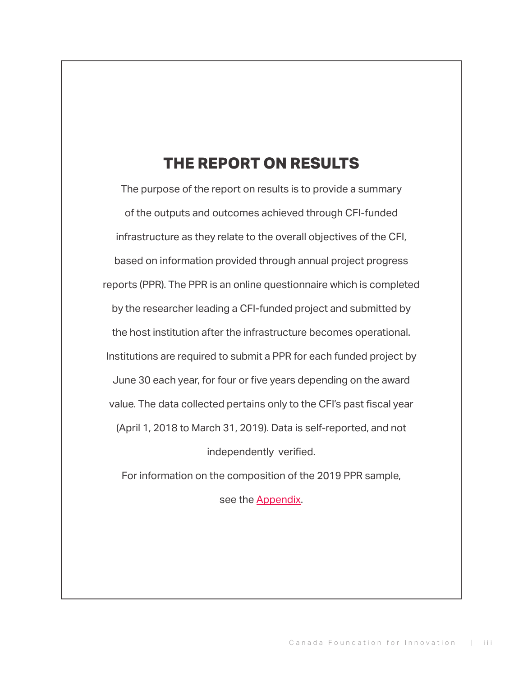### **THE REPORT ON RESULTS**

The purpose of the report on results is to provide a summary of the outputs and outcomes achieved through CFI-funded infrastructure as they relate to the overall objectives of the CFI, based on information provided through annual project progress reports (PPR). The PPR is an online questionnaire which is completed by the researcher leading a CFI-funded project and submitted by the host institution after the infrastructure becomes operational. Institutions are required to submit a PPR for each funded project by June 30 each year, for four or five years depending on the award value. The data collected pertains only to the CFI's past fiscal year (April 1, 2018 to March 31, 2019). Data is self-reported, and not independently verified.

For information on the composition of the 2019 PPR sample,

see the [Appendix](#page-20-0).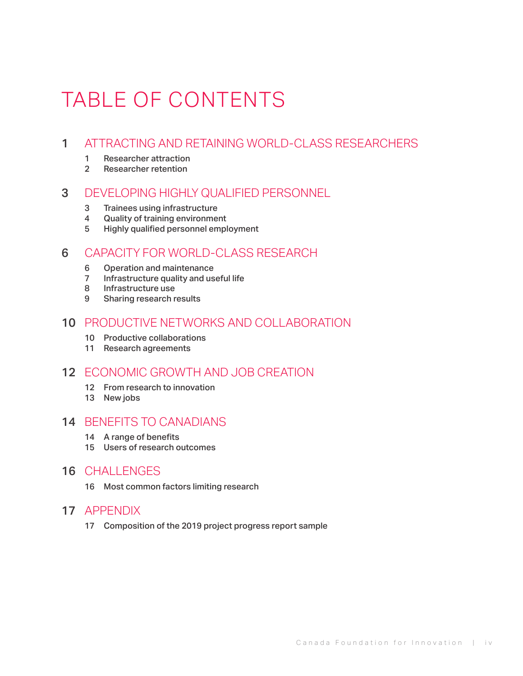# TABLE OF CONTENTS

#### [ATTRACTING AND RETAINING WORLD-CLASS RESEARCHERS](#page-4-0)

- [Researcher attraction](#page-4-0)
- [Researcher retention](#page-5-0)

#### [DEVELOPING HIGHLY QUALIFIED PERSONNEL](#page-6-0)

- [Trainees using infrastructure](#page-6-0)
- [Quality of training environment](#page-7-0)
- 5 Highly qualified personnel [employment](#page-8-0)

#### [CAPACITY FOR WORLD-CLASS RESEARCH](#page-9-0)

- [6 Operation](#page-9-0) and maintenance
- [7 Infrastructure](#page-10-0) quality and useful life
- [Infrastructure use](#page-11-0)
- [Sharing research results](#page-12-0)

#### [PRODUCTIVE NETWORKS AND COLLABORATION](#page-13-0)

- 10 Productive collaborations
- [Research agreements](#page-14-0)

#### [ECONOMIC GROWTH AND JOB CREATION](#page-15-0)

- [From research to innovation](#page-15-0)
- [13 New](#page-16-0) jobs

#### [BENEFITS TO CANADIANS](#page-17-0)

- 14 A range of [benefits](#page-17-0)
- [Users of research outcomes](#page-18-0)

#### [CHALLENGES](#page-19-0)

[Most common factors limiting research](#page-19-0)

#### [APPENDIX](#page-20-0)

17 Composition of the 2019 project progress report sample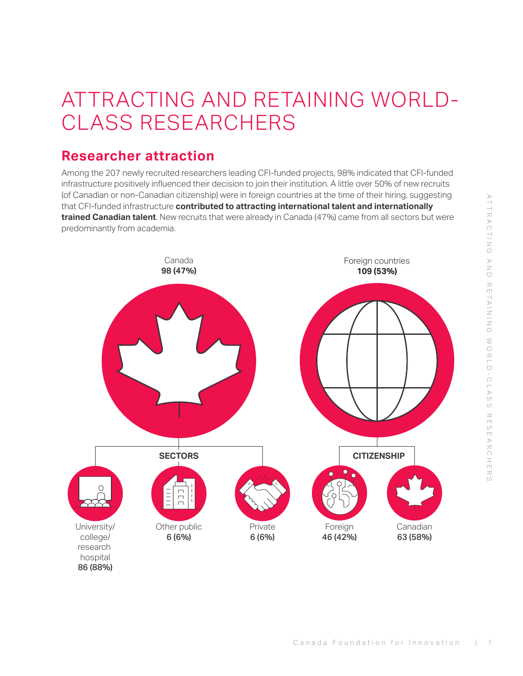## <span id="page-4-0"></span>ATTRACTING AND RETAINING WORLD-CLASS RESEARCHERS

#### **Researcher attraction**

Among the 207 newly recruited researchers leading CFI-funded projects, 98% indicated that CFI-funded infrastructure positively influenced their decision to join their institution. A little over 50% of new recruits (of Canadian or non-Canadian citizenship) were in foreign countries at the time of their hiring, suggesting that CFI-funded infrastructure **contributed to attracting international talent and internationally trained Canadian talent**. New recruits that were already in Canada (47%) came from all sectors but were predominantly from academia.

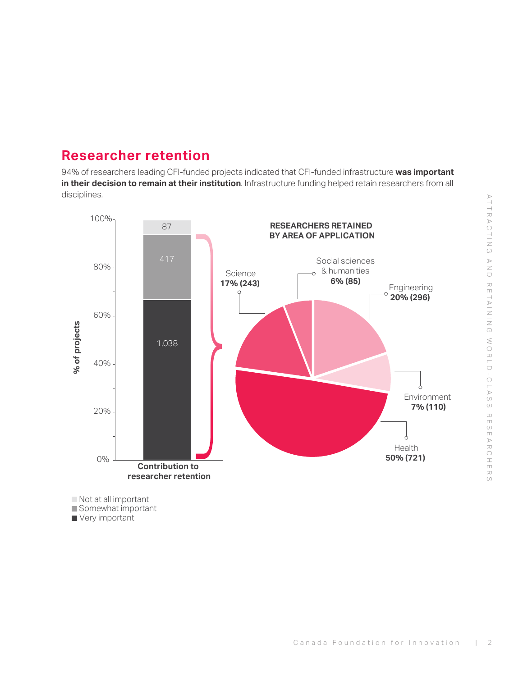#### <span id="page-5-0"></span>**Researcher retention**

94% of researchers leading CFI-funded projects indicated that CFI-funded infrastructure **was important in their decision to remain at their institution**. Infrastructure funding helped retain researchers from all disciplines.



Somewhat important

Very important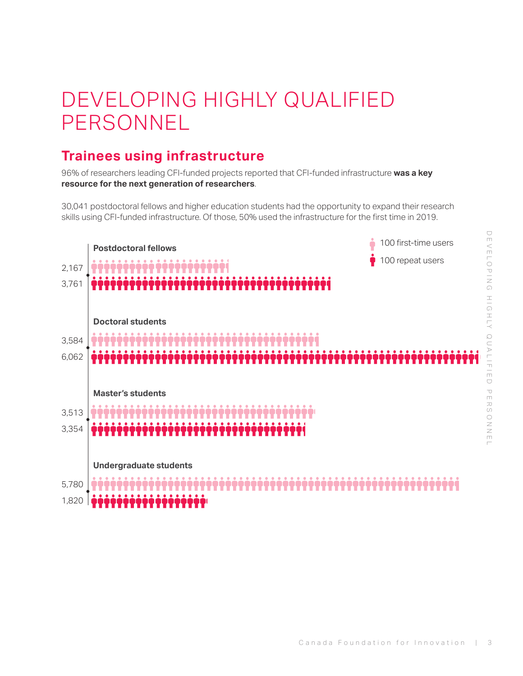# <span id="page-6-0"></span>DEVELOPING HIGHLY QUALIFIED PERSONNEL

#### **Trainees using infrastructure**

96% of researchers leading CFI-funded projects reported that CFI-funded infrastructure **was a key resource for the next generation of researchers**.

30,041 postdoctoral fellows and higher education students had the opportunity to expand their research skills using CFI-funded infrastructure. Of those, 50% used the infrastructure for the first time in 2019.

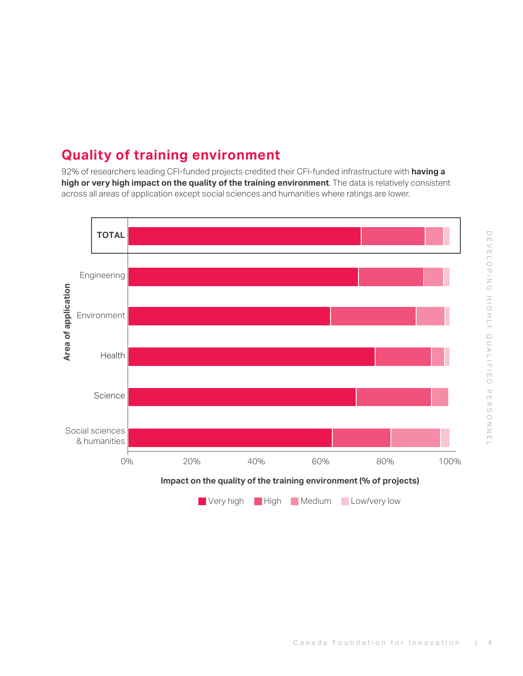### <span id="page-7-0"></span>**Quality of training environment**

92% of researchers leading CFI-funded projects credited their CFI-funded infrastructure with **having a high or very high impact on the quality of the training environment**. The data is relatively consistent across all areas of application except social sciences and humanities where ratings are lower.

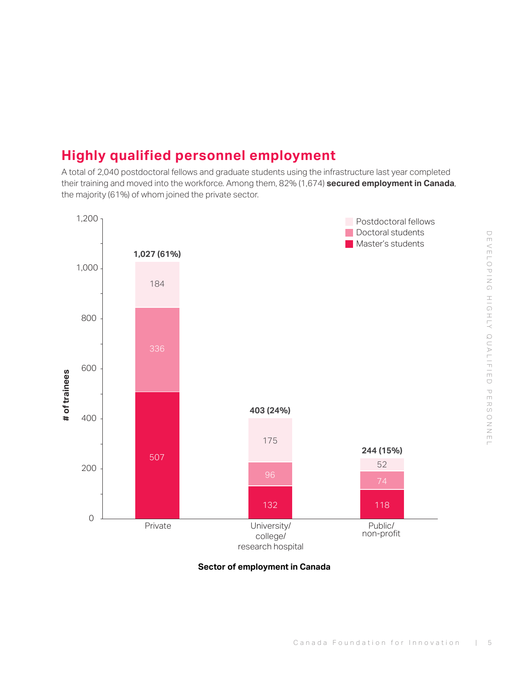### <span id="page-8-0"></span>**Highly qualified personnel employment**

A total of 2,040 postdoctoral fellows and graduate students using the infrastructure last year completed their training and moved into the workforce. Among them, 82% (1,674) **secured employment in Canada**, the majority (61%) of whom joined the private sector.



**Sector of employment in Canada**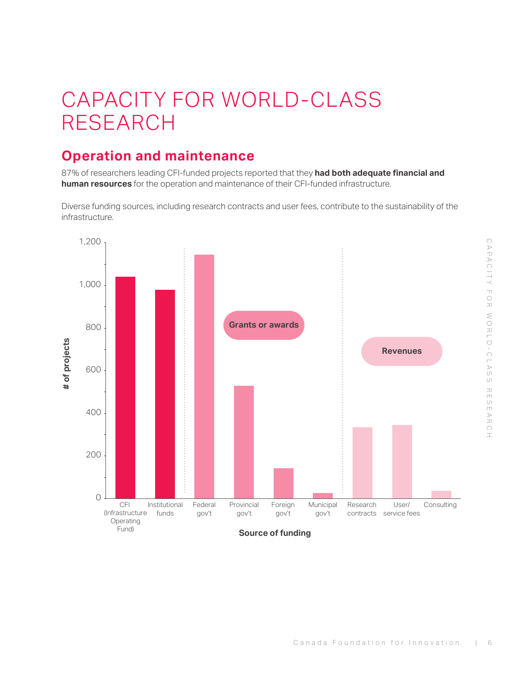## <span id="page-9-0"></span>CAPACITY FOR WORLD-CLASS RESEARCH

### **Operation and maintenance**

87% of researchers leading CFI-funded projects reported that they **had both adequate financial and human resources** for the operation and maintenance of their CFI-funded infrastructure.

Diverse funding sources, including research contracts and user fees, contribute to the sustainability of the infrastructure.

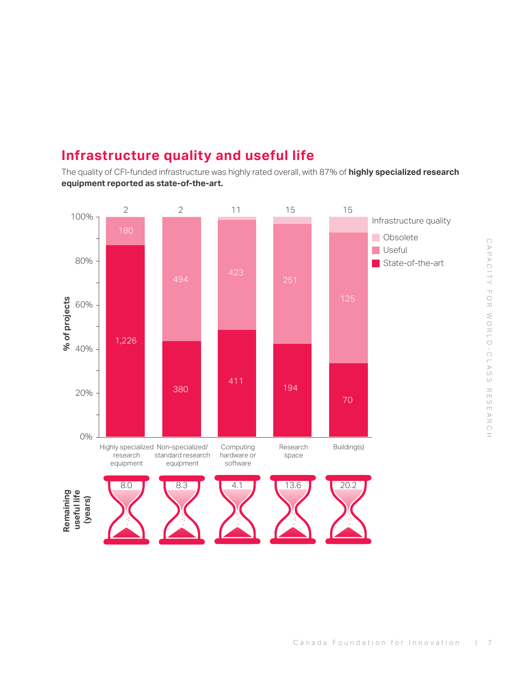### <span id="page-10-0"></span>**Infrastructure quality and useful life**

The quality of CFI-funded infrastructure was highly rated overall, with 87% of **highly specialized research equipment reported as state-of-the-art.**

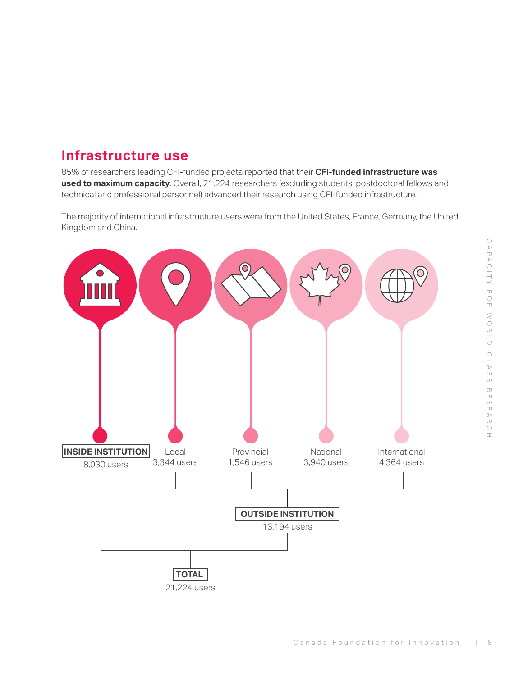#### <span id="page-11-0"></span>**Infrastructure use**

85% of researchers leading CFI-funded projects reported that their **CFI-funded infrastructure was used to maximum capacity**. Overall, 21,224 researchers (excluding students, postdoctoral fellows and technical and professional personnel) advanced their research using CFI-funded infrastructure.

The majority of international infrastructure users were from the United States, France, Germany, the United Kingdom and China.

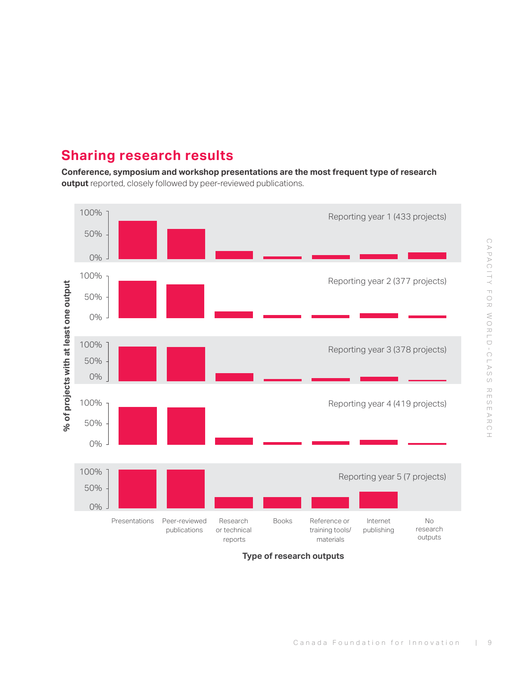### <span id="page-12-0"></span>**Sharing research results**

**Conference, symposium and workshop presentations are the most frequent type of research output** reported, closely followed by peer-reviewed publications.



**Type of research outputs**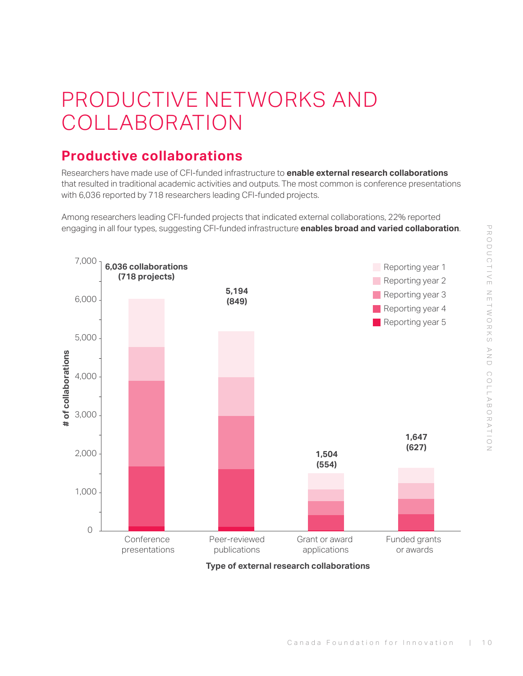# <span id="page-13-0"></span>PRODUCTIVE NETWORKS AND COLLABORATION

### **Productive collaborations**

Researchers have made use of CFI-funded infrastructure to **enable external research collaborations** that resulted in traditional academic activities and outputs. The most common is conference presentations with 6,036 reported by 718 researchers leading CFI-funded projects.

Among researchers leading CFI-funded projects that indicated external collaborations, 22% reported engaging in all four types, suggesting CFI-funded infrastructure **enables broad and varied collaboration**.

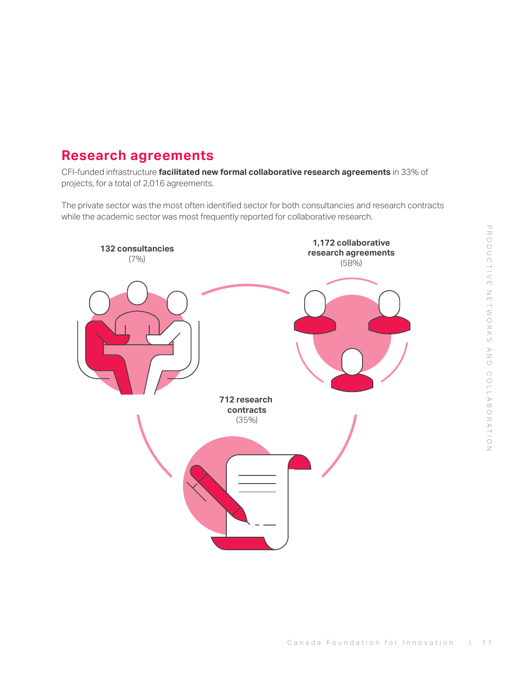#### <span id="page-14-0"></span>**Research agreements**

CFI-funded infrastructure **facilitated new formal collaborative research agreements** in 33% of projects, for a total of 2,016 agreements.

The private sector was the most often identified sector for both consultancies and research contracts while the academic sector was most frequently reported for collaborative research.

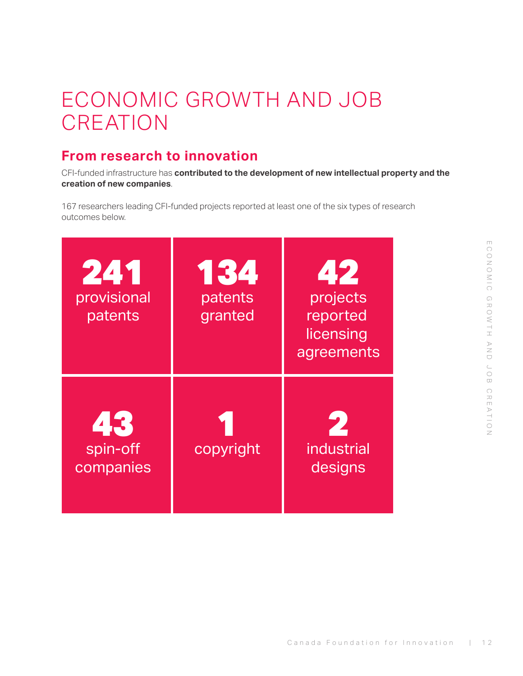# <span id="page-15-0"></span>ECONOMIC GROWTH AND JOB **CREATION**

### **From research to innovation**

CFI-funded infrastructure has **contributed to the development of new intellectual property and the creation of new companies**.

167 researchers leading CFI-funded projects reported at least one of the six types of research outcomes below.

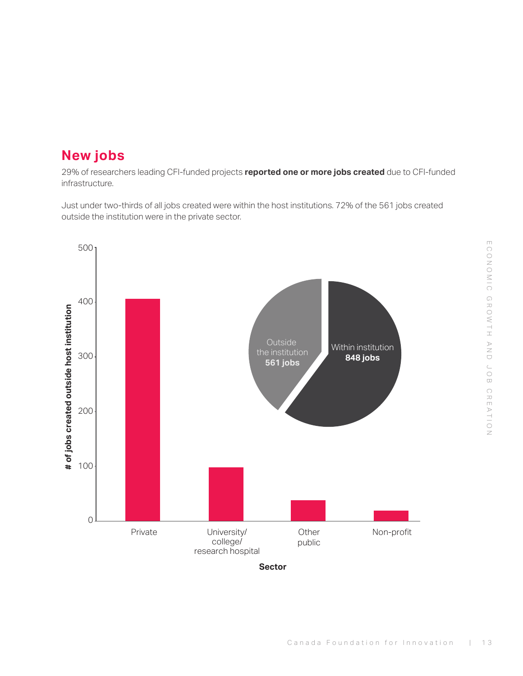#### <span id="page-16-0"></span>**New jobs**

29% of researchers leading CFI-funded projects **reported one or more jobs created** due to CFI-funded infrastructure.

Just under two-thirds of all jobs created were within the host institutions. 72% of the 561 jobs created outside the institution were in the private sector.



and<br>O job creation

conomic

growth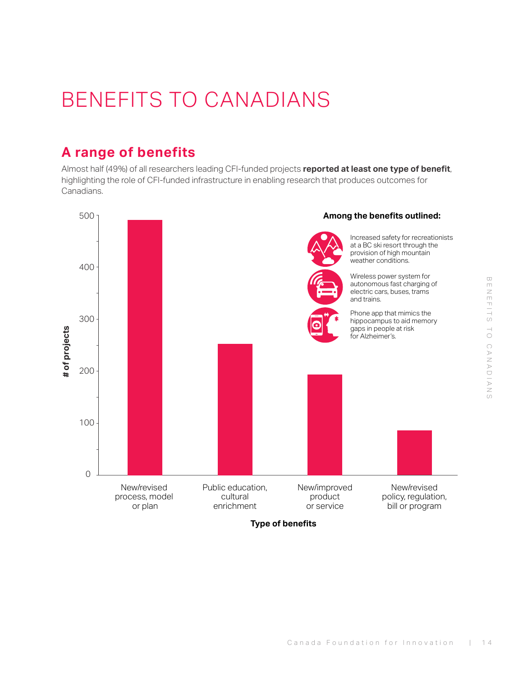# en Handia to canadians

# <span id="page-17-0"></span>BENEFITS TO CANADIANS

### **A range of benefits**

Almost half (49%) of all researchers leading CFI-funded projects **reported at least one type of benefit**, highlighting the role of CFI-funded infrastructure in enabling research that produces outcomes for Canadians.



**Type of benefits**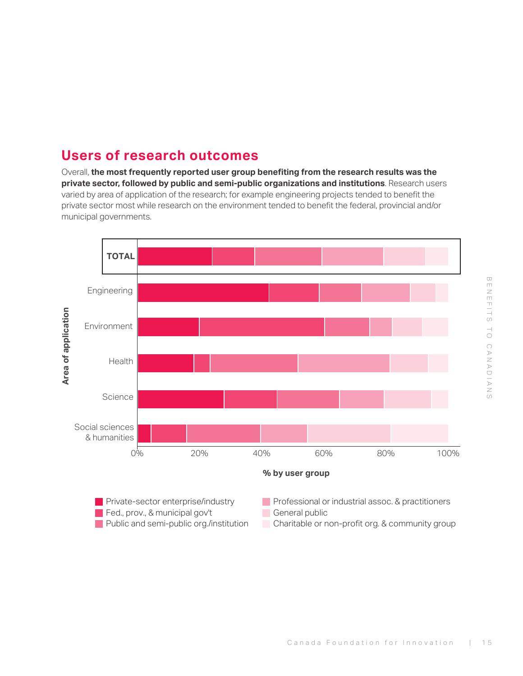#### <span id="page-18-0"></span>**Users of research outcomes**

Overall, **the most frequently reported user group benefiting from the research results was the private sector, followed by public and semi-public organizations and institutions**. Research users varied by area of application of the research; for example engineering projects tended to benefit the private sector most while research on the environment tended to benefit the federal, provincial and/or municipal governments.

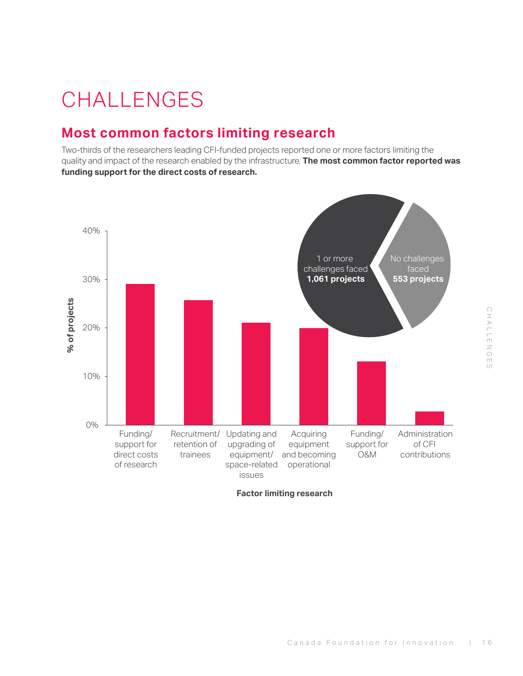# CHALLENGES hallenges

# <span id="page-19-0"></span>**CHALLENGES**

#### **Most common factors limiting research**

Two-thirds of the researchers leading CFI-funded projects reported one or more factors limiting the quality and impact of the research enabled by the infrastructure. **The most common factor reported was funding support for the direct costs of research.**



**Factor limiting research**